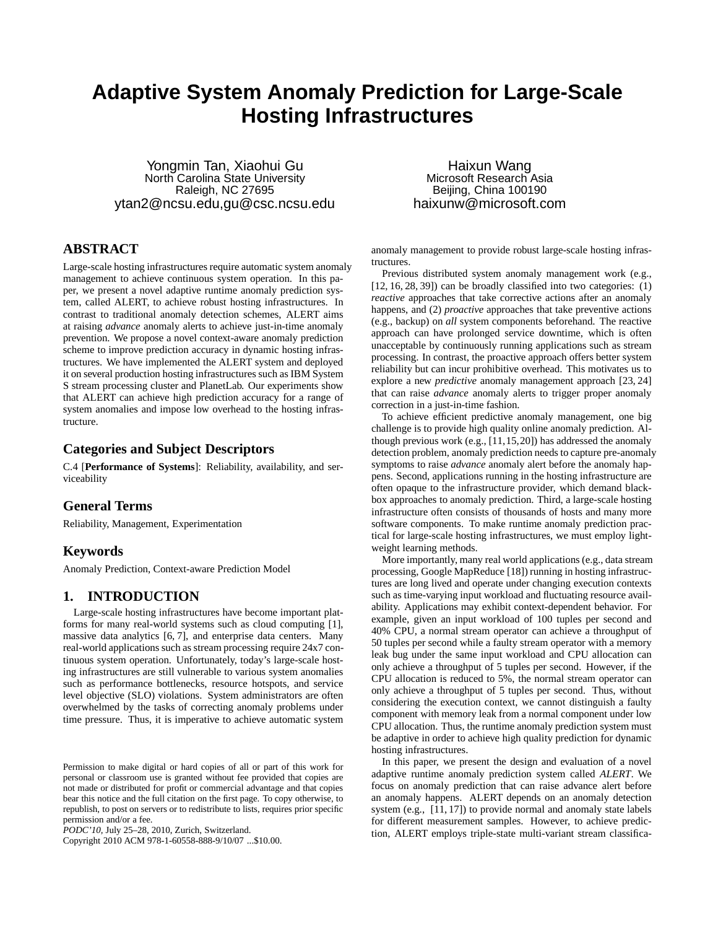# **Adaptive System Anomaly Prediction for Large-Scale Hosting Infrastructures**

Yongmin Tan, Xiaohui Gu North Carolina State University Raleigh, NC 27695 ytan2@ncsu.edu,gu@csc.ncsu.edu

# **ABSTRACT**

Large-scale hosting infrastructures require automatic system anomaly management to achieve continuous system operation. In this paper, we present a novel adaptive runtime anomaly prediction system, called ALERT, to achieve robust hosting infrastructures. In contrast to traditional anomaly detection schemes, ALERT aims at raising *advance* anomaly alerts to achieve just-in-time anomaly prevention. We propose a novel context-aware anomaly prediction scheme to improve prediction accuracy in dynamic hosting infrastructures. We have implemented the ALERT system and deployed it on several production hosting infrastructures such as IBM System S stream processing cluster and PlanetLab. Our experiments show that ALERT can achieve high prediction accuracy for a range of system anomalies and impose low overhead to the hosting infrastructure.

## **Categories and Subject Descriptors**

C.4 [**Performance of Systems**]: Reliability, availability, and serviceability

# **General Terms**

Reliability, Management, Experimentation

# **Keywords**

Anomaly Prediction, Context-aware Prediction Model

## **1. INTRODUCTION**

Large-scale hosting infrastructures have become important platforms for many real-world systems such as cloud computing [1], massive data analytics [6, 7], and enterprise data centers. Many real-world applications such as stream processing require 24x7 continuous system operation. Unfortunately, today's large-scale hosting infrastructures are still vulnerable to various system anomalies such as performance bottlenecks, resource hotspots, and service level objective (SLO) violations. System administrators are often overwhelmed by the tasks of correcting anomaly problems under time pressure. Thus, it is imperative to achieve automatic system

Copyright 2010 ACM 978-1-60558-888-9/10/07 ...\$10.00.

Haixun Wang Microsoft Research Asia Beijing, China 100190 haixunw@microsoft.com

anomaly management to provide robust large-scale hosting infrastructures.

Previous distributed system anomaly management work (e.g.,  $[12, 16, 28, 39]$  can be broadly classified into two categories:  $(1)$ *reactive* approaches that take corrective actions after an anomaly happens, and (2) *proactive* approaches that take preventive actions (e.g., backup) on *all* system components beforehand. The reactive approach can have prolonged service downtime, which is often unacceptable by continuously running applications such as stream processing. In contrast, the proactive approach offers better system reliability but can incur prohibitive overhead. This motivates us to explore a new *predictive* anomaly management approach [23, 24] that can raise *advance* anomaly alerts to trigger proper anomaly correction in a just-in-time fashion.

To achieve efficient predictive anomaly management, one big challenge is to provide high quality online anomaly prediction. Although previous work (e.g., [11,15,20]) has addressed the anomaly detection problem, anomaly prediction needs to capture pre-anomaly symptoms to raise *advance* anomaly alert before the anomaly happens. Second, applications running in the hosting infrastructure are often opaque to the infrastructure provider, which demand blackbox approaches to anomaly prediction. Third, a large-scale hosting infrastructure often consists of thousands of hosts and many more software components. To make runtime anomaly prediction practical for large-scale hosting infrastructures, we must employ lightweight learning methods.

More importantly, many real world applications (e.g., data stream processing, Google MapReduce [18]) running in hosting infrastructures are long lived and operate under changing execution contexts such as time-varying input workload and fluctuating resource availability. Applications may exhibit context-dependent behavior. For example, given an input workload of 100 tuples per second and 40% CPU, a normal stream operator can achieve a throughput of 50 tuples per second while a faulty stream operator with a memory leak bug under the same input workload and CPU allocation can only achieve a throughput of 5 tuples per second. However, if the CPU allocation is reduced to 5%, the normal stream operator can only achieve a throughput of 5 tuples per second. Thus, without considering the execution context, we cannot distinguish a faulty component with memory leak from a normal component under low CPU allocation. Thus, the runtime anomaly prediction system must be adaptive in order to achieve high quality prediction for dynamic hosting infrastructures.

In this paper, we present the design and evaluation of a novel adaptive runtime anomaly prediction system called *ALERT*. We focus on anomaly prediction that can raise advance alert before an anomaly happens. ALERT depends on an anomaly detection system (e.g., [11, 17]) to provide normal and anomaly state labels for different measurement samples. However, to achieve prediction, ALERT employs triple-state multi-variant stream classifica-

Permission to make digital or hard copies of all or part of this work for personal or classroom use is granted without fee provided that copies are not made or distributed for profit or commercial advantage and that copies bear this notice and the full citation on the first page. To copy otherwise, to republish, to post on servers or to redistribute to lists, requires prior specific permission and/or a fee.

*PODC'10,* July 25–28, 2010, Zurich, Switzerland.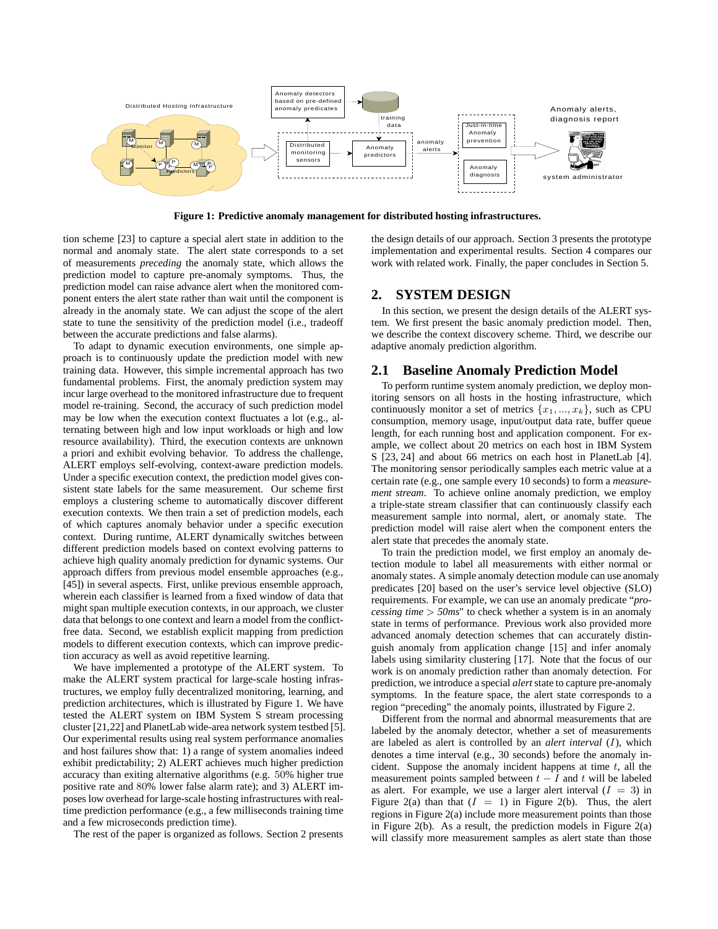

**Figure 1: Predictive anomaly management for distributed hosting infrastructures.**

tion scheme [23] to capture a special alert state in addition to the normal and anomaly state. The alert state corresponds to a set of measurements *preceding* the anomaly state, which allows the prediction model to capture pre-anomaly symptoms. Thus, the prediction model can raise advance alert when the monitored component enters the alert state rather than wait until the component is already in the anomaly state. We can adjust the scope of the alert state to tune the sensitivity of the prediction model (i.e., tradeoff between the accurate predictions and false alarms).

To adapt to dynamic execution environments, one simple approach is to continuously update the prediction model with new training data. However, this simple incremental approach has two fundamental problems. First, the anomaly prediction system may incur large overhead to the monitored infrastructure due to frequent model re-training. Second, the accuracy of such prediction model may be low when the execution context fluctuates a lot (e.g., alternating between high and low input workloads or high and low resource availability). Third, the execution contexts are unknown a priori and exhibit evolving behavior. To address the challenge, ALERT employs self-evolving, context-aware prediction models. Under a specific execution context, the prediction model gives consistent state labels for the same measurement. Our scheme first employs a clustering scheme to automatically discover different execution contexts. We then train a set of prediction models, each of which captures anomaly behavior under a specific execution context. During runtime, ALERT dynamically switches between different prediction models based on context evolving patterns to achieve high quality anomaly prediction for dynamic systems. Our approach differs from previous model ensemble approaches (e.g., [45]) in several aspects. First, unlike previous ensemble approach, wherein each classifier is learned from a fixed window of data that might span multiple execution contexts, in our approach, we cluster data that belongs to one context and learn a model from the conflictfree data. Second, we establish explicit mapping from prediction models to different execution contexts, which can improve prediction accuracy as well as avoid repetitive learning.

We have implemented a prototype of the ALERT system. To make the ALERT system practical for large-scale hosting infrastructures, we employ fully decentralized monitoring, learning, and prediction architectures, which is illustrated by Figure 1. We have tested the ALERT system on IBM System S stream processing cluster [21,22] and PlanetLab wide-area network system testbed [5]. Our experimental results using real system performance anomalies and host failures show that: 1) a range of system anomalies indeed exhibit predictability; 2) ALERT achieves much higher prediction accuracy than exiting alternative algorithms (e.g. 50% higher true positive rate and 80% lower false alarm rate); and 3) ALERT imposes low overhead for large-scale hosting infrastructures with realtime prediction performance (e.g., a few milliseconds training time and a few microseconds prediction time).

The rest of the paper is organized as follows. Section 2 presents

the design details of our approach. Section 3 presents the prototype implementation and experimental results. Section 4 compares our work with related work. Finally, the paper concludes in Section 5.

## **2. SYSTEM DESIGN**

In this section, we present the design details of the ALERT system. We first present the basic anomaly prediction model. Then, we describe the context discovery scheme. Third, we describe our adaptive anomaly prediction algorithm.

## **2.1 Baseline Anomaly Prediction Model**

To perform runtime system anomaly prediction, we deploy monitoring sensors on all hosts in the hosting infrastructure, which continuously monitor a set of metrics  $\{x_1, ..., x_k\}$ , such as CPU consumption, memory usage, input/output data rate, buffer queue length, for each running host and application component. For example, we collect about 20 metrics on each host in IBM System S [23, 24] and about 66 metrics on each host in PlanetLab [4]. The monitoring sensor periodically samples each metric value at a certain rate (e.g., one sample every 10 seconds) to form a *measurement stream.* To achieve online anomaly prediction, we employ a triple-state stream classifier that can continuously classify each measurement sample into normal, alert, or anomaly state. The prediction model will raise alert when the component enters the alert state that precedes the anomaly state.

To train the prediction model, we first employ an anomaly detection module to label all measurements with either normal or anomaly states. A simple anomaly detection module can use anomaly predicates [20] based on the user's service level objective (SLO) requirements. For example, we can use an anomaly predicate "*processing time* > *50ms*" to check whether a system is in an anomaly state in terms of performance. Previous work also provided more advanced anomaly detection schemes that can accurately distinguish anomaly from application change [15] and infer anomaly labels using similarity clustering [17]. Note that the focus of our work is on anomaly prediction rather than anomaly detection. For prediction, we introduce a special *alert*state to capture pre-anomaly symptoms. In the feature space, the alert state corresponds to a region "preceding" the anomaly points, illustrated by Figure 2.

Different from the normal and abnormal measurements that are labeled by the anomaly detector, whether a set of measurements are labeled as alert is controlled by an *alert interval* (I), which denotes a time interval (e.g., 30 seconds) before the anomaly incident. Suppose the anomaly incident happens at time  $t$ , all the measurement points sampled between  $t - I$  and t will be labeled as alert. For example, we use a larger alert interval  $(I = 3)$  in Figure 2(a) than that  $(I = 1)$  in Figure 2(b). Thus, the alert regions in Figure 2(a) include more measurement points than those in Figure 2(b). As a result, the prediction models in Figure 2(a) will classify more measurement samples as alert state than those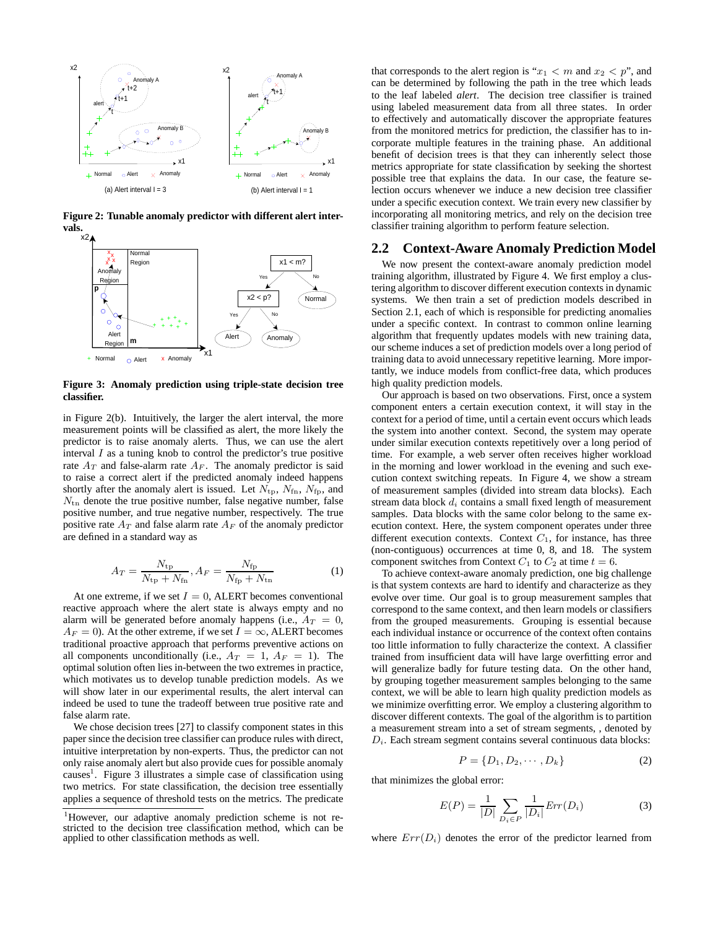

**Figure 2: Tunable anomaly predictor with different alert intervals.**



**Figure 3: Anomaly prediction using triple-state decision tree classifier.**

in Figure 2(b). Intuitively, the larger the alert interval, the more measurement points will be classified as alert, the more likely the predictor is to raise anomaly alerts. Thus, we can use the alert interval  $I$  as a tuning knob to control the predictor's true positive rate  $A_T$  and false-alarm rate  $A_F$ . The anomaly predictor is said to raise a correct alert if the predicted anomaly indeed happens shortly after the anomaly alert is issued. Let  $N_{\text{tp}}$ ,  $N_{\text{fn}}$ ,  $N_{\text{fp}}$ , and  $N_{\text{tn}}$  denote the true positive number, false negative number, false positive number, and true negative number, respectively. The true positive rate  $A_T$  and false alarm rate  $A_F$  of the anomaly predictor are defined in a standard way as

$$
A_T = \frac{N_{\rm tp}}{N_{\rm tp} + N_{\rm fn}}, A_F = \frac{N_{\rm fp}}{N_{\rm fp} + N_{\rm tn}} \tag{1}
$$

At one extreme, if we set  $I = 0$ , ALERT becomes conventional reactive approach where the alert state is always empty and no alarm will be generated before anomaly happens (i.e.,  $A_T = 0$ ,  $A_F = 0$ ). At the other extreme, if we set  $I = \infty$ , ALERT becomes traditional proactive approach that performs preventive actions on all components unconditionally (i.e.,  $A_T = 1$ ,  $A_F = 1$ ). The optimal solution often lies in-between the two extremes in practice, which motivates us to develop tunable prediction models. As we will show later in our experimental results, the alert interval can indeed be used to tune the tradeoff between true positive rate and false alarm rate.

We chose decision trees [27] to classify component states in this paper since the decision tree classifier can produce rules with direct, intuitive interpretation by non-experts. Thus, the predictor can not only raise anomaly alert but also provide cues for possible anomaly causes<sup>1</sup>. Figure 3 illustrates a simple case of classification using two metrics. For state classification, the decision tree essentially applies a sequence of threshold tests on the metrics. The predicate

that corresponds to the alert region is " $x_1 < m$  and  $x_2 < p$ ", and can be determined by following the path in the tree which leads to the leaf labeled *alert*. The decision tree classifier is trained using labeled measurement data from all three states. In order to effectively and automatically discover the appropriate features from the monitored metrics for prediction, the classifier has to incorporate multiple features in the training phase. An additional benefit of decision trees is that they can inherently select those metrics appropriate for state classification by seeking the shortest possible tree that explains the data. In our case, the feature selection occurs whenever we induce a new decision tree classifier under a specific execution context. We train every new classifier by incorporating all monitoring metrics, and rely on the decision tree classifier training algorithm to perform feature selection.

## **2.2 Context-Aware Anomaly Prediction Model**

We now present the context-aware anomaly prediction model training algorithm, illustrated by Figure 4. We first employ a clustering algorithm to discover different execution contexts in dynamic systems. We then train a set of prediction models described in Section 2.1, each of which is responsible for predicting anomalies under a specific context. In contrast to common online learning algorithm that frequently updates models with new training data, our scheme induces a set of prediction models over a long period of training data to avoid unnecessary repetitive learning. More importantly, we induce models from conflict-free data, which produces high quality prediction models.

Our approach is based on two observations. First, once a system component enters a certain execution context, it will stay in the context for a period of time, until a certain event occurs which leads the system into another context. Second, the system may operate under similar execution contexts repetitively over a long period of time. For example, a web server often receives higher workload in the morning and lower workload in the evening and such execution context switching repeats. In Figure 4, we show a stream of measurement samples (divided into stream data blocks). Each stream data block  $d_i$  contains a small fixed length of measurement samples. Data blocks with the same color belong to the same execution context. Here, the system component operates under three different execution contexts. Context  $C_1$ , for instance, has three (non-contiguous) occurrences at time 0, 8, and 18. The system component switches from Context  $C_1$  to  $C_2$  at time  $t = 6$ .

To achieve context-aware anomaly prediction, one big challenge is that system contexts are hard to identify and characterize as they evolve over time. Our goal is to group measurement samples that correspond to the same context, and then learn models or classifiers from the grouped measurements. Grouping is essential because each individual instance or occurrence of the context often contains too little information to fully characterize the context. A classifier trained from insufficient data will have large overfitting error and will generalize badly for future testing data. On the other hand, by grouping together measurement samples belonging to the same context, we will be able to learn high quality prediction models as we minimize overfitting error. We employ a clustering algorithm to discover different contexts. The goal of the algorithm is to partition a measurement stream into a set of stream segments, , denoted by  $D<sub>i</sub>$ . Each stream segment contains several continuous data blocks:

$$
P = \{D_1, D_2, \cdots, D_k\} \tag{2}
$$

that minimizes the global error:

$$
E(P) = \frac{1}{|D|} \sum_{D_i \in P} \frac{1}{|D_i|} Err(D_i)
$$
 (3)

where  $Err(D_i)$  denotes the error of the predictor learned from

<sup>&</sup>lt;sup>1</sup>However, our adaptive anomaly prediction scheme is not restricted to the decision tree classification method, which can be applied to other classification methods as well.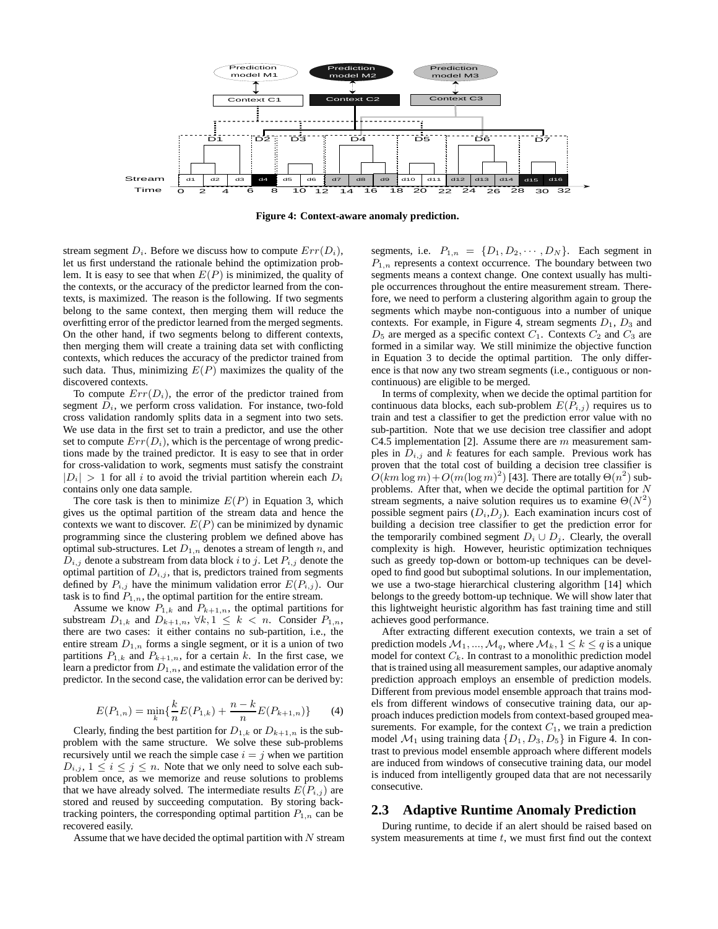

**Figure 4: Context-aware anomaly prediction.**

stream segment  $D_i$ . Before we discuss how to compute  $Err(D_i)$ , let us first understand the rationale behind the optimization problem. It is easy to see that when  $E(P)$  is minimized, the quality of the contexts, or the accuracy of the predictor learned from the contexts, is maximized. The reason is the following. If two segments belong to the same context, then merging them will reduce the overfitting error of the predictor learned from the merged segments. On the other hand, if two segments belong to different contexts, then merging them will create a training data set with conflicting contexts, which reduces the accuracy of the predictor trained from such data. Thus, minimizing  $E(P)$  maximizes the quality of the discovered contexts.

To compute  $Err(D_i)$ , the error of the predictor trained from segment  $D_i$ , we perform cross validation. For instance, two-fold cross validation randomly splits data in a segment into two sets. We use data in the first set to train a predictor, and use the other set to compute  $Err(D_i)$ , which is the percentage of wrong predictions made by the trained predictor. It is easy to see that in order for cross-validation to work, segments must satisfy the constraint  $|D_i| > 1$  for all i to avoid the trivial partition wherein each  $D_i$ contains only one data sample.

The core task is then to minimize  $E(P)$  in Equation 3, which gives us the optimal partition of the stream data and hence the contexts we want to discover.  $E(P)$  can be minimized by dynamic programming since the clustering problem we defined above has optimal sub-structures. Let  $D_{1,n}$  denotes a stream of length n, and  $D_{i,j}$  denote a substream from data block i to j. Let  $P_{i,j}$  denote the optimal partition of  $D_{i,j}$ , that is, predictors trained from segments defined by  $P_{i,j}$  have the minimum validation error  $E(P_{i,j})$ . Our task is to find  $P_{1,n}$ , the optimal partition for the entire stream.

Assume we know  $P_{1,k}$  and  $P_{k+1,n}$ , the optimal partitions for substream  $D_{1,k}$  and  $D_{k+1,n}$ ,  $\forall k, 1 \leq k < n$ . Consider  $P_{1,n}$ , there are two cases: it either contains no sub-partition, i.e., the entire stream  $D_{1,n}$  forms a single segment, or it is a union of two partitions  $P_{1,k}$  and  $P_{k+1,n}$ , for a certain k. In the first case, we learn a predictor from  $D_{1,n}$ , and estimate the validation error of the predictor. In the second case, the validation error can be derived by:

$$
E(P_{1,n}) = \min_{k} \{ \frac{k}{n} E(P_{1,k}) + \frac{n-k}{n} E(P_{k+1,n}) \}
$$
 (4)

Clearly, finding the best partition for  $D_{1,k}$  or  $D_{k+1,n}$  is the subproblem with the same structure. We solve these sub-problems recursively until we reach the simple case  $i = j$  when we partition  $D_{i,j}$ ,  $1 \leq i \leq j \leq n$ . Note that we only need to solve each subproblem once, as we memorize and reuse solutions to problems that we have already solved. The intermediate results  $E(P_{i,j})$  are stored and reused by succeeding computation. By storing backtracking pointers, the corresponding optimal partition  $P_{1,n}$  can be recovered easily.

Assume that we have decided the optimal partition with  $N$  stream

segments, i.e.  $P_{1,n} = \{D_1, D_2, \cdots, D_N\}$ . Each segment in  $P_{1,n}$  represents a context occurrence. The boundary between two segments means a context change. One context usually has multiple occurrences throughout the entire measurement stream. Therefore, we need to perform a clustering algorithm again to group the segments which maybe non-contiguous into a number of unique contexts. For example, in Figure 4, stream segments  $D_1$ ,  $D_3$  and  $D_5$  are merged as a specific context  $C_1$ . Contexts  $C_2$  and  $C_3$  are formed in a similar way. We still minimize the objective function in Equation 3 to decide the optimal partition. The only difference is that now any two stream segments (i.e., contiguous or noncontinuous) are eligible to be merged.

In terms of complexity, when we decide the optimal partition for continuous data blocks, each sub-problem  $E(P_{i,j})$  requires us to train and test a classifier to get the prediction error value with no sub-partition. Note that we use decision tree classifier and adopt C4.5 implementation [2]. Assume there are  $m$  measurement samples in  $D_{i,j}$  and k features for each sample. Previous work has proven that the total cost of building a decision tree classifier is  $O(km\log m)+O(m(\log m)^2)$  [43]. There are totally  $\Theta(n^2)$  subproblems. After that, when we decide the optimal partition for  $N$ stream segments, a naive solution requires us to examine  $\Theta(N^2)$ possible segment pairs  $(D_i, D_j)$ . Each examination incurs cost of building a decision tree classifier to get the prediction error for the temporarily combined segment  $D_i \cup D_j$ . Clearly, the overall complexity is high. However, heuristic optimization techniques such as greedy top-down or bottom-up techniques can be developed to find good but suboptimal solutions. In our implementation, we use a two-stage hierarchical clustering algorithm [14] which belongs to the greedy bottom-up technique. We will show later that this lightweight heuristic algorithm has fast training time and still achieves good performance.

After extracting different execution contexts, we train a set of prediction models  $\mathcal{M}_1, ..., \mathcal{M}_q$ , where  $\mathcal{M}_k, 1 \leq k \leq q$  is a unique model for context  $C_k$ . In contrast to a monolithic prediction model that is trained using all measurement samples, our adaptive anomaly prediction approach employs an ensemble of prediction models. Different from previous model ensemble approach that trains models from different windows of consecutive training data, our approach induces prediction models from context-based grouped measurements. For example, for the context  $C_1$ , we train a prediction model  $\mathcal{M}_1$  using training data  $\{D_1, D_3, D_5\}$  in Figure 4. In contrast to previous model ensemble approach where different models are induced from windows of consecutive training data, our model is induced from intelligently grouped data that are not necessarily consecutive.

### **2.3 Adaptive Runtime Anomaly Prediction**

During runtime, to decide if an alert should be raised based on system measurements at time  $t$ , we must first find out the context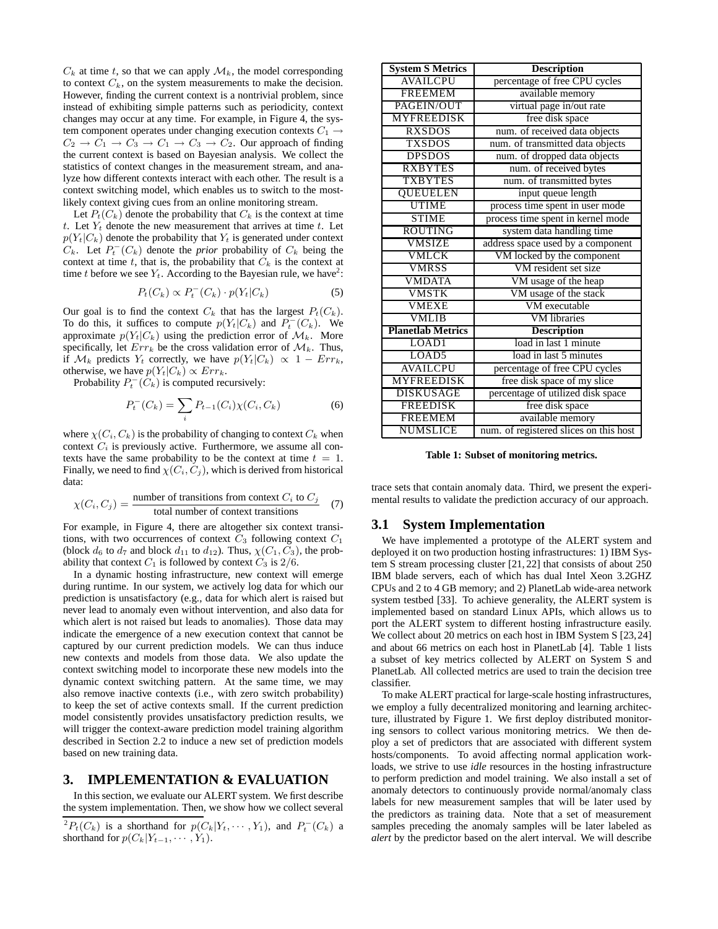$C_k$  at time t, so that we can apply  $\mathcal{M}_k$ , the model corresponding to context  $C_k$ , on the system measurements to make the decision. However, finding the current context is a nontrivial problem, since instead of exhibiting simple patterns such as periodicity, context changes may occur at any time. For example, in Figure 4, the system component operates under changing execution contexts  $C_1 \rightarrow$  $C_2 \rightarrow \overline{C_1} \rightarrow \overline{C_3} \rightarrow C_1 \rightarrow \overline{C_3} \rightarrow \overline{C_2}$ . Our approach of finding the current context is based on Bayesian analysis. We collect the statistics of context changes in the measurement stream, and analyze how different contexts interact with each other. The result is a context switching model, which enables us to switch to the mostlikely context giving cues from an online monitoring stream.

Let  $P_t(C_k)$  denote the probability that  $C_k$  is the context at time t. Let  $Y_t$  denote the new measurement that arrives at time t. Let  $p(Y_t|C_k)$  denote the probability that  $Y_t$  is generated under context  $C_k$ . Let  $P_t^-(C_k)$  denote the *prior* probability of  $C_k$  being the context at time t, that is, the probability that  $C_k$  is the context at time t before we see  $Y_t$ . According to the Bayesian rule, we have<sup>2</sup>:

$$
P_t(C_k) \propto P_t^-(C_k) \cdot p(Y_t|C_k)
$$
\n<sup>(5)</sup>

Our goal is to find the context  $C_k$  that has the largest  $P_t(C_k)$ . To do this, it suffices to compute  $p(Y_t|C_k)$  and  $P_t^-(C_k)$ . We approximate  $p(Y_t|C_k)$  using the prediction error of  $\mathcal{M}_k$ . More specifically, let  $Err_k$  be the cross validation error of  $\mathcal{M}_k$ . Thus, if  $\mathcal{M}_k$  predicts  $Y_t$  correctly, we have  $p(Y_t|C_k) \propto 1 - Err_k$ , otherwise, we have  $p(Y_t|C_k) \propto Err_k$ .

Probability  $P_t^-(\hat{C}_k)$  is computed recursively:

$$
P_t^-(C_k) = \sum_i P_{t-1}(C_i) \chi(C_i, C_k)
$$
 (6)

where  $\chi(C_i, C_k)$  is the probability of changing to context  $C_k$  when context  $C_i$  is previously active. Furthermore, we assume all contexts have the same probability to be the context at time  $t = 1$ . Finally, we need to find  $\chi(C_i, C_j)$ , which is derived from historical data:

$$
\chi(C_i, C_j) = \frac{\text{number of transitions from context } C_i \text{ to } C_j}{\text{total number of context transitions}} \quad (7)
$$

For example, in Figure 4, there are altogether six context transitions, with two occurrences of context  $C_3$  following context  $C_1$ (block  $d_6$  to  $d_7$  and block  $d_{11}$  to  $d_{12}$ ). Thus,  $\chi(C_1, C_3)$ , the probability that context  $C_1$  is followed by context  $C_3$  is  $2/6$ .

In a dynamic hosting infrastructure, new context will emerge during runtime. In our system, we actively log data for which our prediction is unsatisfactory (e.g., data for which alert is raised but never lead to anomaly even without intervention, and also data for which alert is not raised but leads to anomalies). Those data may indicate the emergence of a new execution context that cannot be captured by our current prediction models. We can thus induce new contexts and models from those data. We also update the context switching model to incorporate these new models into the dynamic context switching pattern. At the same time, we may also remove inactive contexts (i.e., with zero switch probability) to keep the set of active contexts small. If the current prediction model consistently provides unsatisfactory prediction results, we will trigger the context-aware prediction model training algorithm described in Section 2.2 to induce a new set of prediction models based on new training data.

## **3. IMPLEMENTATION & EVALUATION**

In this section, we evaluate our ALERT system. We first describe the system implementation. Then, we show how we collect several

| <b>System S Metrics</b>  | <b>Description</b>                     |
|--------------------------|----------------------------------------|
| <b>AVAILCPU</b>          | percentage of free CPU cycles          |
| <b>FREEMEM</b>           | available memory                       |
| PAGEIN/OUT               | virtual page in/out rate               |
| <b>MYFREEDISK</b>        | free disk space                        |
| <b>RXSDOS</b>            | num. of received data objects          |
| <b>TXSDOS</b>            | num. of transmitted data objects       |
| <b>DPSDOS</b>            | num. of dropped data objects           |
| <b>RXBYTES</b>           | num. of received bytes                 |
| <b>TXBYTES</b>           | num. of transmitted bytes              |
| <b>QUEUELEN</b>          | input queue length                     |
| <b>UTIME</b>             | process time spent in user mode        |
| <b>STIME</b>             | process time spent in kernel mode      |
| <b>ROUTING</b>           | system data handling time              |
| <b>VMSIZE</b>            | address space used by a component      |
| VMLCK                    | VM locked by the component             |
| <b>VMRSS</b>             | VM resident set size                   |
| VMDATA                   | VM usage of the heap                   |
| <b>VMSTK</b>             | VM usage of the stack                  |
| <b>VMEXE</b>             | VM executable                          |
| <b>VMLIB</b>             | <b>VM</b> libraries                    |
| <b>Planetlab Metrics</b> | <b>Description</b>                     |
| LOAD1                    | load in last 1 minute                  |
| LOAD5                    | load in last 5 minutes                 |
| <b>AVAILCPU</b>          | percentage of free CPU cycles          |
| <b>MYFREEDISK</b>        | free disk space of my slice            |
| <b>DISKUSAGE</b>         | percentage of utilized disk space      |
| <b>FREEDISK</b>          | free disk space                        |
| <b>FREEMEM</b>           | available memory                       |
| <b>NUMSLICE</b>          | num. of registered slices on this host |

**Table 1: Subset of monitoring metrics.**

trace sets that contain anomaly data. Third, we present the experimental results to validate the prediction accuracy of our approach.

### **3.1 System Implementation**

We have implemented a prototype of the ALERT system and deployed it on two production hosting infrastructures: 1) IBM System S stream processing cluster [21, 22] that consists of about 250 IBM blade servers, each of which has dual Intel Xeon 3.2GHZ CPUs and 2 to 4 GB memory; and 2) PlanetLab wide-area network system testbed [33]. To achieve generality, the ALERT system is implemented based on standard Linux APIs, which allows us to port the ALERT system to different hosting infrastructure easily. We collect about 20 metrics on each host in IBM System S [23, 24] and about 66 metrics on each host in PlanetLab [4]. Table 1 lists a subset of key metrics collected by ALERT on System S and PlanetLab. All collected metrics are used to train the decision tree classifier.

To make ALERT practical for large-scale hosting infrastructures, we employ a fully decentralized monitoring and learning architecture, illustrated by Figure 1. We first deploy distributed monitoring sensors to collect various monitoring metrics. We then deploy a set of predictors that are associated with different system hosts/components. To avoid affecting normal application workloads, we strive to use *idle* resources in the hosting infrastructure to perform prediction and model training. We also install a set of anomaly detectors to continuously provide normal/anomaly class labels for new measurement samples that will be later used by the predictors as training data. Note that a set of measurement samples preceding the anomaly samples will be later labeled as *alert* by the predictor based on the alert interval. We will describe

 ${}^{2}P_t(C_k)$  is a shorthand for  $p(C_k|Y_t,\dots,Y_1)$ , and  $P_t^-(C_k)$  a shorthand for  $p(C_k|Y_{t-1}, \cdots, Y_1)$ .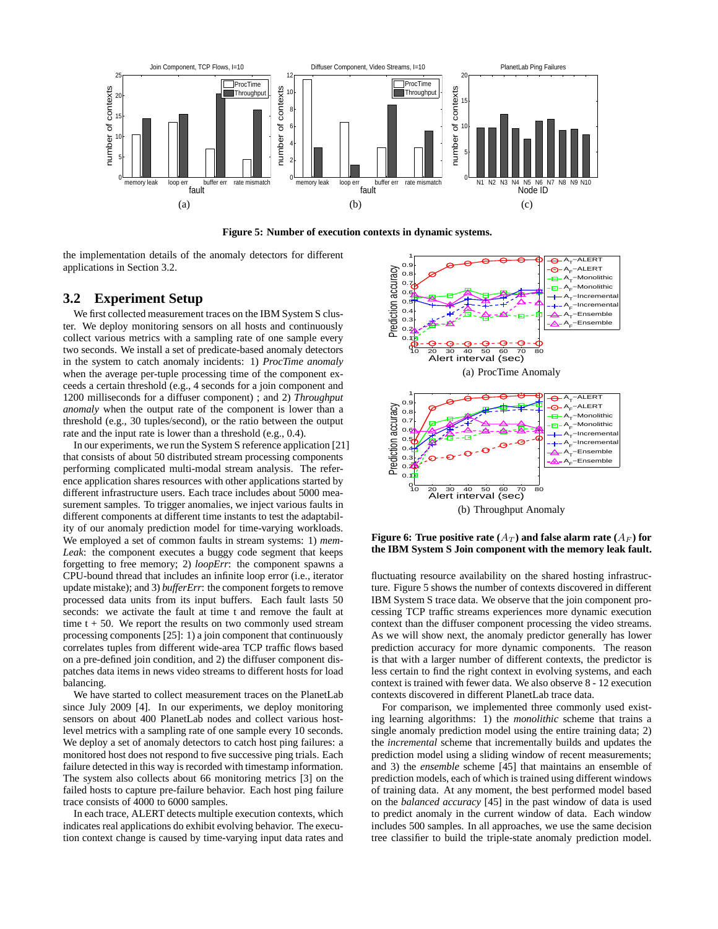

**Figure 5: Number of execution contexts in dynamic systems.**

the implementation details of the anomaly detectors for different applications in Section 3.2.

## **3.2 Experiment Setup**

We first collected measurement traces on the IBM System S cluster. We deploy monitoring sensors on all hosts and continuously collect various metrics with a sampling rate of one sample every two seconds. We install a set of predicate-based anomaly detectors in the system to catch anomaly incidents: 1) *ProcTime anomaly* when the average per-tuple processing time of the component exceeds a certain threshold (e.g., 4 seconds for a join component and 1200 milliseconds for a diffuser component) ; and 2) *Throughput anomaly* when the output rate of the component is lower than a threshold (e.g., 30 tuples/second), or the ratio between the output rate and the input rate is lower than a threshold (e.g., 0.4).

In our experiments, we run the System S reference application [21] that consists of about 50 distributed stream processing components performing complicated multi-modal stream analysis. The reference application shares resources with other applications started by different infrastructure users. Each trace includes about 5000 measurement samples. To trigger anomalies, we inject various faults in different components at different time instants to test the adaptability of our anomaly prediction model for time-varying workloads. We employed a set of common faults in stream systems: 1) *mem-Leak*: the component executes a buggy code segment that keeps forgetting to free memory; 2) *loopErr*: the component spawns a CPU-bound thread that includes an infinite loop error (i.e., iterator update mistake); and 3) *bufferErr*: the component forgets to remove processed data units from its input buffers. Each fault lasts 50 seconds: we activate the fault at time t and remove the fault at time  $t + 50$ . We report the results on two commonly used stream processing components [25]: 1) a join component that continuously correlates tuples from different wide-area TCP traffic flows based on a pre-defined join condition, and 2) the diffuser component dispatches data items in news video streams to different hosts for load balancing.

We have started to collect measurement traces on the PlanetLab since July 2009 [4]. In our experiments, we deploy monitoring sensors on about 400 PlanetLab nodes and collect various hostlevel metrics with a sampling rate of one sample every 10 seconds. We deploy a set of anomaly detectors to catch host ping failures: a monitored host does not respond to five successive ping trials. Each failure detected in this way is recorded with timestamp information. The system also collects about 66 monitoring metrics [3] on the failed hosts to capture pre-failure behavior. Each host ping failure trace consists of 4000 to 6000 samples.

In each trace, ALERT detects multiple execution contexts, which indicates real applications do exhibit evolving behavior. The execution context change is caused by time-varying input data rates and



**Figure 6: True positive rate**  $(A_T)$  and false alarm rate  $(A_F)$  for **the IBM System S Join component with the memory leak fault.**

fluctuating resource availability on the shared hosting infrastructure. Figure 5 shows the number of contexts discovered in different IBM System S trace data. We observe that the join component processing TCP traffic streams experiences more dynamic execution context than the diffuser component processing the video streams. As we will show next, the anomaly predictor generally has lower prediction accuracy for more dynamic components. The reason is that with a larger number of different contexts, the predictor is less certain to find the right context in evolving systems, and each context is trained with fewer data. We also observe 8 - 12 execution contexts discovered in different PlanetLab trace data.

For comparison, we implemented three commonly used existing learning algorithms: 1) the *monolithic* scheme that trains a single anomaly prediction model using the entire training data; 2) the *incremental* scheme that incrementally builds and updates the prediction model using a sliding window of recent measurements; and 3) the *ensemble* scheme [45] that maintains an ensemble of prediction models, each of which is trained using different windows of training data. At any moment, the best performed model based on the *balanced accuracy* [45] in the past window of data is used to predict anomaly in the current window of data. Each window includes 500 samples. In all approaches, we use the same decision tree classifier to build the triple-state anomaly prediction model.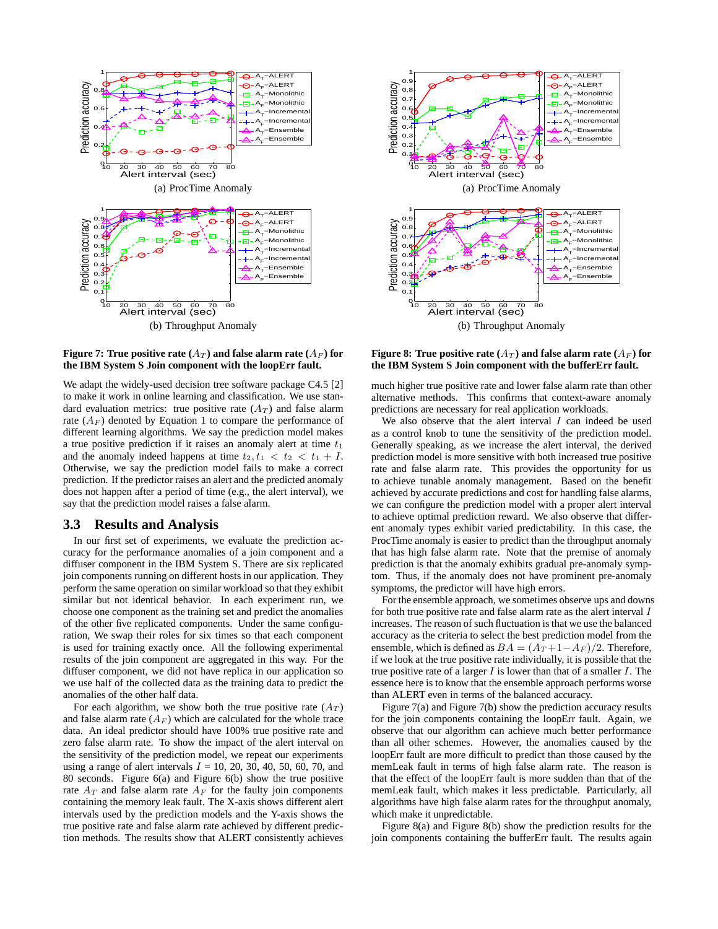

**Figure 7: True positive rate**  $(A_T)$  and false alarm rate  $(A_F)$  for **the IBM System S Join component with the loopErr fault.**

We adapt the widely-used decision tree software package C4.5 [2] to make it work in online learning and classification. We use standard evaluation metrics: true positive rate  $(A_T)$  and false alarm rate  $(A_F)$  denoted by Equation 1 to compare the performance of different learning algorithms. We say the prediction model makes a true positive prediction if it raises an anomaly alert at time  $t_1$ and the anomaly indeed happens at time  $t_2, t_1 < t_2 < t_1 + I$ . Otherwise, we say the prediction model fails to make a correct prediction. If the predictor raises an alert and the predicted anomaly does not happen after a period of time (e.g., the alert interval), we say that the prediction model raises a false alarm.

### **3.3 Results and Analysis**

In our first set of experiments, we evaluate the prediction accuracy for the performance anomalies of a join component and a diffuser component in the IBM System S. There are six replicated join components running on different hosts in our application. They perform the same operation on similar workload so that they exhibit similar but not identical behavior. In each experiment run, we choose one component as the training set and predict the anomalies of the other five replicated components. Under the same configuration, We swap their roles for six times so that each component is used for training exactly once. All the following experimental results of the join component are aggregated in this way. For the diffuser component, we did not have replica in our application so we use half of the collected data as the training data to predict the anomalies of the other half data.

For each algorithm, we show both the true positive rate  $(A_T)$ and false alarm rate  $(A_F)$  which are calculated for the whole trace data. An ideal predictor should have 100% true positive rate and zero false alarm rate. To show the impact of the alert interval on the sensitivity of the prediction model, we repeat our experiments using a range of alert intervals  $I = 10, 20, 30, 40, 50, 60, 70,$  and 80 seconds. Figure 6(a) and Figure 6(b) show the true positive rate  $A_T$  and false alarm rate  $A_F$  for the faulty join components containing the memory leak fault. The X-axis shows different alert intervals used by the prediction models and the Y-axis shows the true positive rate and false alarm rate achieved by different prediction methods. The results show that ALERT consistently achieves



**Figure 8: True positive rate**  $(A_T)$  and false alarm rate  $(A_F)$  for **the IBM System S Join component with the bufferErr fault.**

much higher true positive rate and lower false alarm rate than other alternative methods. This confirms that context-aware anomaly predictions are necessary for real application workloads.

We also observe that the alert interval  $I$  can indeed be used as a control knob to tune the sensitivity of the prediction model. Generally speaking, as we increase the alert interval, the derived prediction model is more sensitive with both increased true positive rate and false alarm rate. This provides the opportunity for us to achieve tunable anomaly management. Based on the benefit achieved by accurate predictions and cost for handling false alarms, we can configure the prediction model with a proper alert interval to achieve optimal prediction reward. We also observe that different anomaly types exhibit varied predictability. In this case, the ProcTime anomaly is easier to predict than the throughput anomaly that has high false alarm rate. Note that the premise of anomaly prediction is that the anomaly exhibits gradual pre-anomaly symptom. Thus, if the anomaly does not have prominent pre-anomaly symptoms, the predictor will have high errors.

For the ensemble approach, we sometimes observe ups and downs for both true positive rate and false alarm rate as the alert interval I increases. The reason of such fluctuation is that we use the balanced accuracy as the criteria to select the best prediction model from the ensemble, which is defined as  $BA = (A_T + 1 - A_F)/2$ . Therefore, if we look at the true positive rate individually, it is possible that the true positive rate of a larger  $I$  is lower than that of a smaller  $I$ . The essence here is to know that the ensemble approach performs worse than ALERT even in terms of the balanced accuracy.

Figure 7(a) and Figure 7(b) show the prediction accuracy results for the join components containing the loopErr fault. Again, we observe that our algorithm can achieve much better performance than all other schemes. However, the anomalies caused by the loopErr fault are more difficult to predict than those caused by the memLeak fault in terms of high false alarm rate. The reason is that the effect of the loopErr fault is more sudden than that of the memLeak fault, which makes it less predictable. Particularly, all algorithms have high false alarm rates for the throughput anomaly, which make it unpredictable.

Figure 8(a) and Figure 8(b) show the prediction results for the join components containing the bufferErr fault. The results again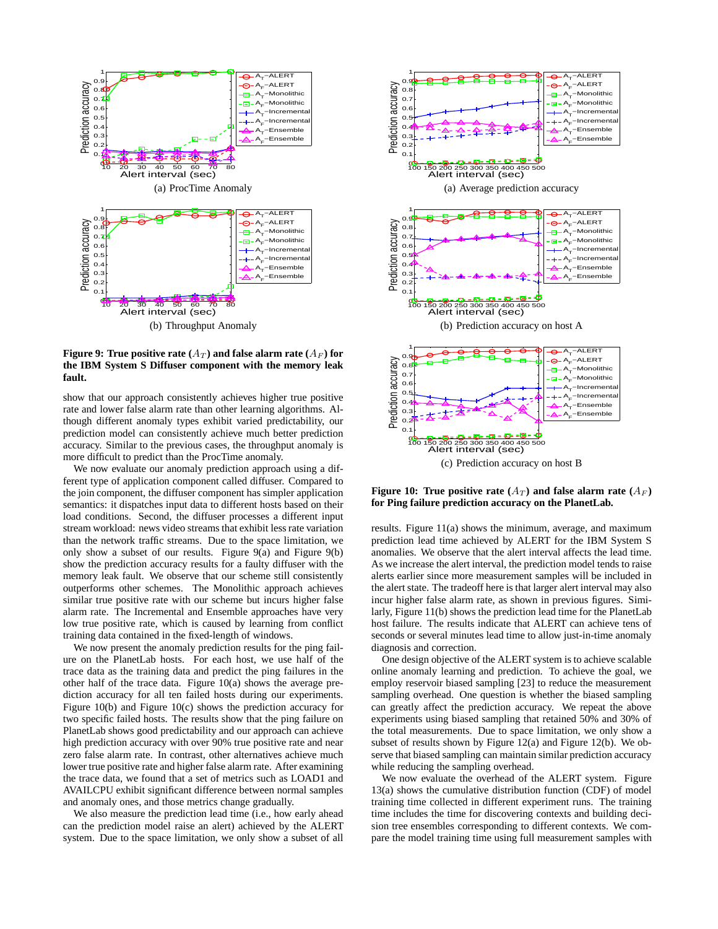

**Figure 9: True positive rate**  $(A_T)$  and false alarm rate  $(A_F)$  for **the IBM System S Diffuser component with the memory leak fault.**

show that our approach consistently achieves higher true positive rate and lower false alarm rate than other learning algorithms. Although different anomaly types exhibit varied predictability, our prediction model can consistently achieve much better prediction accuracy. Similar to the previous cases, the throughput anomaly is more difficult to predict than the ProcTime anomaly.

We now evaluate our anomaly prediction approach using a different type of application component called diffuser. Compared to the join component, the diffuser component has simpler application semantics: it dispatches input data to different hosts based on their load conditions. Second, the diffuser processes a different input stream workload: news video streams that exhibit less rate variation than the network traffic streams. Due to the space limitation, we only show a subset of our results. Figure 9(a) and Figure 9(b) show the prediction accuracy results for a faulty diffuser with the memory leak fault. We observe that our scheme still consistently outperforms other schemes. The Monolithic approach achieves similar true positive rate with our scheme but incurs higher false alarm rate. The Incremental and Ensemble approaches have very low true positive rate, which is caused by learning from conflict training data contained in the fixed-length of windows.

We now present the anomaly prediction results for the ping failure on the PlanetLab hosts. For each host, we use half of the trace data as the training data and predict the ping failures in the other half of the trace data. Figure 10(a) shows the average prediction accuracy for all ten failed hosts during our experiments. Figure 10(b) and Figure 10(c) shows the prediction accuracy for two specific failed hosts. The results show that the ping failure on PlanetLab shows good predictability and our approach can achieve high prediction accuracy with over 90% true positive rate and near zero false alarm rate. In contrast, other alternatives achieve much lower true positive rate and higher false alarm rate. After examining the trace data, we found that a set of metrics such as LOAD1 and AVAILCPU exhibit significant difference between normal samples and anomaly ones, and those metrics change gradually.

We also measure the prediction lead time (i.e., how early ahead can the prediction model raise an alert) achieved by the ALERT system. Due to the space limitation, we only show a subset of all



(c) Prediction accuracy on host B

**Figure 10: True positive rate**  $(A_T)$  **and false alarm rate**  $(A_F)$ **for Ping failure prediction accuracy on the PlanetLab.**

results. Figure 11(a) shows the minimum, average, and maximum prediction lead time achieved by ALERT for the IBM System S anomalies. We observe that the alert interval affects the lead time. As we increase the alert interval, the prediction model tends to raise alerts earlier since more measurement samples will be included in the alert state. The tradeoff here is that larger alert interval may also incur higher false alarm rate, as shown in previous figures. Similarly, Figure 11(b) shows the prediction lead time for the PlanetLab host failure. The results indicate that ALERT can achieve tens of seconds or several minutes lead time to allow just-in-time anomaly diagnosis and correction.

One design objective of the ALERT system is to achieve scalable online anomaly learning and prediction. To achieve the goal, we employ reservoir biased sampling [23] to reduce the measurement sampling overhead. One question is whether the biased sampling can greatly affect the prediction accuracy. We repeat the above experiments using biased sampling that retained 50% and 30% of the total measurements. Due to space limitation, we only show a subset of results shown by Figure 12(a) and Figure 12(b). We observe that biased sampling can maintain similar prediction accuracy while reducing the sampling overhead.

We now evaluate the overhead of the ALERT system. Figure 13(a) shows the cumulative distribution function (CDF) of model training time collected in different experiment runs. The training time includes the time for discovering contexts and building decision tree ensembles corresponding to different contexts. We compare the model training time using full measurement samples with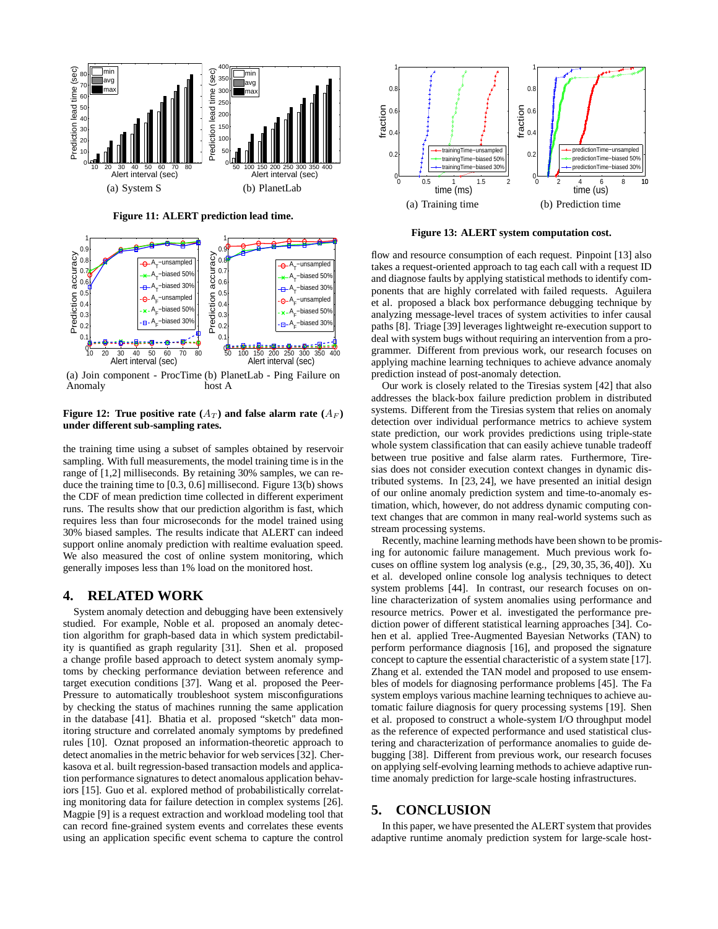

**Figure 11: ALERT prediction lead time.**



(a) Join component - ProcTime (b) PlanetLab - Ping Failure on Anomaly host A

#### **Figure 12: True positive rate**  $(A_T)$  and false alarm rate  $(A_F)$ **under different sub-sampling rates.**

the training time using a subset of samples obtained by reservoir sampling. With full measurements, the model training time is in the range of [1,2] milliseconds. By retaining 30% samples, we can reduce the training time to [0.3, 0.6] millisecond. Figure 13(b) shows the CDF of mean prediction time collected in different experiment runs. The results show that our prediction algorithm is fast, which requires less than four microseconds for the model trained using 30% biased samples. The results indicate that ALERT can indeed support online anomaly prediction with realtime evaluation speed. We also measured the cost of online system monitoring, which generally imposes less than 1% load on the monitored host.

# **4. RELATED WORK**

System anomaly detection and debugging have been extensively studied. For example, Noble et al. proposed an anomaly detection algorithm for graph-based data in which system predictability is quantified as graph regularity [31]. Shen et al. proposed a change profile based approach to detect system anomaly symptoms by checking performance deviation between reference and target execution conditions [37]. Wang et al. proposed the Peer-Pressure to automatically troubleshoot system misconfigurations by checking the status of machines running the same application in the database [41]. Bhatia et al. proposed "sketch" data monitoring structure and correlated anomaly symptoms by predefined rules [10]. Oznat proposed an information-theoretic approach to detect anomalies in the metric behavior for web services [32]. Cherkasova et al. built regression-based transaction models and application performance signatures to detect anomalous application behaviors [15]. Guo et al. explored method of probabilistically correlating monitoring data for failure detection in complex systems [26]. Magpie [9] is a request extraction and workload modeling tool that can record fine-grained system events and correlates these events using an application specific event schema to capture the control



**Figure 13: ALERT system computation cost.**

flow and resource consumption of each request. Pinpoint [13] also takes a request-oriented approach to tag each call with a request ID and diagnose faults by applying statistical methods to identify components that are highly correlated with failed requests. Aguilera et al. proposed a black box performance debugging technique by analyzing message-level traces of system activities to infer causal paths [8]. Triage [39] leverages lightweight re-execution support to deal with system bugs without requiring an intervention from a programmer. Different from previous work, our research focuses on applying machine learning techniques to achieve advance anomaly prediction instead of post-anomaly detection.

Our work is closely related to the Tiresias system [42] that also addresses the black-box failure prediction problem in distributed systems. Different from the Tiresias system that relies on anomaly detection over individual performance metrics to achieve system state prediction, our work provides predictions using triple-state whole system classification that can easily achieve tunable tradeoff between true positive and false alarm rates. Furthermore, Tiresias does not consider execution context changes in dynamic distributed systems. In [23, 24], we have presented an initial design of our online anomaly prediction system and time-to-anomaly estimation, which, however, do not address dynamic computing context changes that are common in many real-world systems such as stream processing systems.

Recently, machine learning methods have been shown to be promising for autonomic failure management. Much previous work focuses on offline system log analysis (e.g., [29, 30, 35, 36, 40]). Xu et al. developed online console log analysis techniques to detect system problems [44]. In contrast, our research focuses on online characterization of system anomalies using performance and resource metrics. Power et al. investigated the performance prediction power of different statistical learning approaches [34]. Cohen et al. applied Tree-Augmented Bayesian Networks (TAN) to perform performance diagnosis [16], and proposed the signature concept to capture the essential characteristic of a system state [17]. Zhang et al. extended the TAN model and proposed to use ensembles of models for diagnosing performance problems [45]. The Fa system employs various machine learning techniques to achieve automatic failure diagnosis for query processing systems [19]. Shen et al. proposed to construct a whole-system I/O throughput model as the reference of expected performance and used statistical clustering and characterization of performance anomalies to guide debugging [38]. Different from previous work, our research focuses on applying self-evolving learning methods to achieve adaptive runtime anomaly prediction for large-scale hosting infrastructures.

# **5. CONCLUSION**

In this paper, we have presented the ALERT system that provides adaptive runtime anomaly prediction system for large-scale host